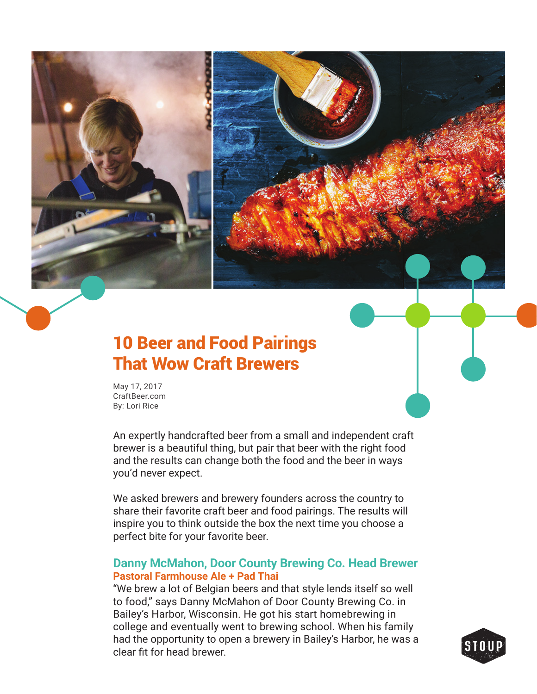

# 10 Beer and Food Pairings That Wow Craft Brewers

May 17, 2017 CraftBeer.com By: Lori Rice

An expertly handcrafted beer from a small and independent craft brewer is a beautiful thing, but pair that beer with the right food and the results can change both the food and the beer in ways you'd never expect.

We asked brewers and brewery founders across the country to share their favorite craft beer and food pairings. The results will inspire you to think outside the box the next time you choose a perfect bite for your favorite beer.

# **Danny McMahon, Door County Brewing Co. Head Brewer Pastoral Farmhouse Ale + Pad Thai**

"We brew a lot of Belgian beers and that style lends itself so well to food," says Danny McMahon of Door County Brewing Co. in Bailey's Harbor, Wisconsin. He got his start homebrewing in college and eventually went to brewing school. When his family had the opportunity to open a brewery in Bailey's Harbor, he was a clear fit for head brewer.

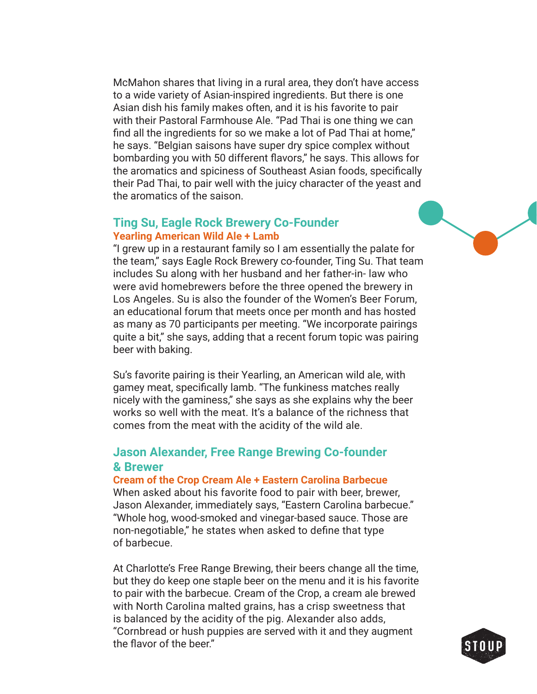McMahon shares that living in a rural area, they don't have access to a wide variety of Asian-inspired ingredients. But there is one Asian dish his family makes often, and it is his favorite to pair with their Pastoral Farmhouse Ale. "Pad Thai is one thing we can find all the ingredients for so we make a lot of Pad Thai at home." he says. "Belgian saisons have super dry spice complex without bombarding you with 50 different flavors," he says. This allows for the aromatics and spiciness of Southeast Asian foods, specifically their Pad Thai, to pair well with the juicy character of the yeast and the aromatics of the saison.

#### **Ting Su, Eagle Rock Brewery Co-Founder Yearling American Wild Ale + Lamb**

## "I grew up in a restaurant family so I am essentially the palate for the team," says Eagle Rock Brewery co-founder, Ting Su. That team includes Su along with her husband and her father-in- law who were avid homebrewers before the three opened the brewery in Los Angeles. Su is also the founder of the Women's Beer Forum, an educational forum that meets once per month and has hosted as many as 70 participants per meeting. "We incorporate pairings quite a bit," she says, adding that a recent forum topic was pairing beer with baking.

Su's favorite pairing is their Yearling, an American wild ale, with gamey meat, specifically lamb. "The funkiness matches really nicely with the gaminess," she says as she explains why the beer works so well with the meat. It's a balance of the richness that comes from the meat with the acidity of the wild ale.

# **Jason Alexander, Free Range Brewing Co-founder & Brewer**

#### **Cream of the Crop Cream Ale + Eastern Carolina Barbecue**

When asked about his favorite food to pair with beer, brewer, Jason Alexander, immediately says, "Eastern Carolina barbecue." "Whole hog, wood-smoked and vinegar-based sauce. Those are non-negotiable," he states when asked to define that type of barbecue.

At Charlotte's Free Range Brewing, their beers change all the time, but they do keep one staple beer on the menu and it is his favorite to pair with the barbecue. Cream of the Crop, a cream ale brewed with North Carolina malted grains, has a crisp sweetness that is balanced by the acidity of the pig. Alexander also adds, "Cornbread or hush puppies are served with it and they augment the flavor of the beer"

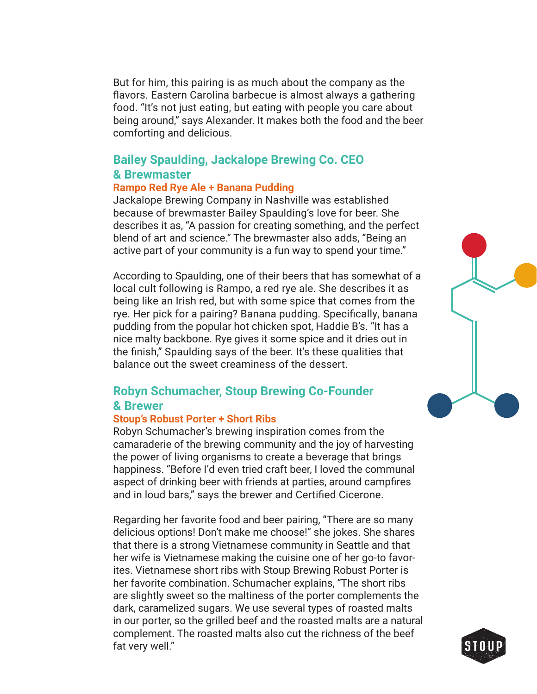But for him, this pairing is as much about the company as the flavors. Eastern Carolina barbecue is almost always a gathering food. "It's not just eating, but eating with people you care about being around," says Alexander. It makes both the food and the beer comforting and delicious.

# **Bailey Spaulding, Jackalope Brewing Co. CEO & Brewmaster**

#### **Rampo Red Rye Ale + Banana Pudding**

Jackalope Brewing Company in Nashville was established because of brewmaster Bailey Spaulding's love for beer. She describes it as, "A passion for creating something, and the perfect blend of art and science." The brewmaster also adds, "Being an active part of your community is a fun way to spend your time."

According to Spaulding, one of their beers that has somewhat of a local cult following is Rampo, a red rye ale. She describes it as being like an Irish red, but with some spice that comes from the rye. Her pick for a pairing? Banana pudding. Specifically, banana pudding from the popular hot chicken spot, Haddie B's. "It has a nice malty backbone. Rye gives it some spice and it dries out in the finish," Spaulding says of the beer. It's these qualities that balance out the sweet creaminess of the dessert.

# **Robyn Schumacher, Stoup Brewing Co-Founder & Brewer**

#### **Stoup's Robust Porter + Short Ribs**

Robyn Schumacher's brewing inspiration comes from the camaraderie of the brewing community and the joy of harvesting the power of living organisms to create a beverage that brings happiness. "Before I'd even tried craft beer, I loved the communal aspect of drinking beer with friends at parties, around campfires and in loud bars," says the brewer and Certified Cicerone.

Regarding her favorite food and beer pairing, "There are so many delicious options! Don't make me choose!" she jokes. She shares that there is a strong Vietnamese community in Seattle and that her wife is Vietnamese making the cuisine one of her go-to favorites. Vietnamese short ribs with Stoup Brewing Robust Porter is her favorite combination. Schumacher explains, "The short ribs are slightly sweet so the maltiness of the porter complements the dark, caramelized sugars. We use several types of roasted malts in our porter, so the grilled beef and the roasted malts are a natural complement. The roasted malts also cut the richness of the beef fat very well."



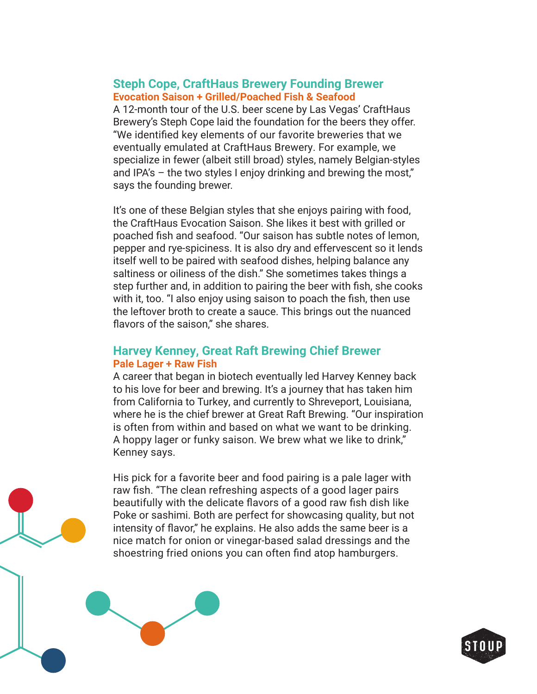## **Steph Cope, CraftHaus Brewery Founding Brewer Evocation Saison + Grilled/Poached Fish & Seafood**

A 12-month tour of the U.S. beer scene by Las Vegas' CraftHaus Brewery's Steph Cope laid the foundation for the beers they offer. "We identified key elements of our favorite breweries that we eventually emulated at CraftHaus Brewery. For example, we specialize in fewer (albeit still broad) styles, namely Belgian-styles and IPA's – the two styles I enjoy drinking and brewing the most," says the founding brewer.

It's one of these Belgian styles that she enjoys pairing with food, the CraftHaus Evocation Saison. She likes it best with grilled or poached fish and seafood. "Our saison has subtle notes of lemon, pepper and rye-spiciness. It is also dry and effervescent so it lends itself well to be paired with seafood dishes, helping balance any saltiness or oiliness of the dish." She sometimes takes things a step further and, in addition to pairing the beer with fish, she cooks with it, too. "I also enjoy using saison to poach the fish, then use the leftover broth to create a sauce. This brings out the nuanced flavors of the saison," she shares.

## **Harvey Kenney, Great Raft Brewing Chief Brewer Pale Lager + Raw Fish**

A career that began in biotech eventually led Harvey Kenney back to his love for beer and brewing. It's a journey that has taken him from California to Turkey, and currently to Shreveport, Louisiana, where he is the chief brewer at Great Raft Brewing. "Our inspiration is often from within and based on what we want to be drinking. A hoppy lager or funky saison. We brew what we like to drink," Kenney says.

His pick for a favorite beer and food pairing is a pale lager with raw fish. "The clean refreshing aspects of a good lager pairs beautifully with the delicate flavors of a good raw fish dish like Poke or sashimi. Both are perfect for showcasing quality, but not intensity of flavor," he explains. He also adds the same beer is a nice match for onion or vinegar-based salad dressings and the shoestring fried onions you can often find atop hamburgers.

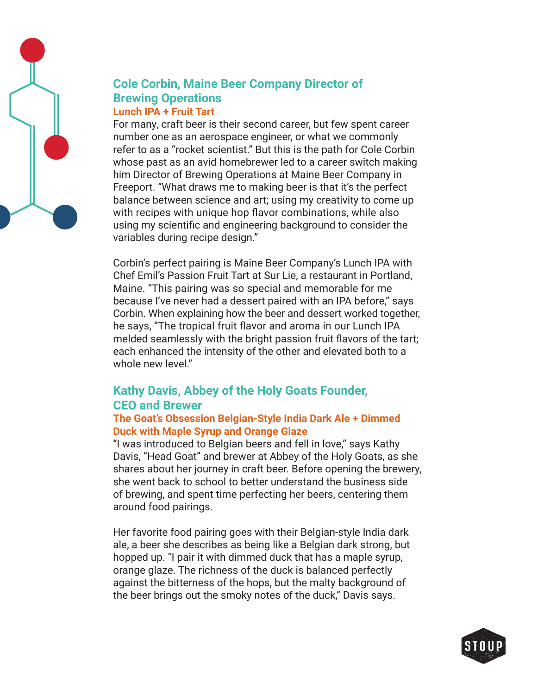

## **Cole Corbin, Maine Beer Company Director of Brewing Operations Lunch IPA + Fruit Tart**

For many, craft beer is their second career, but few spent career number one as an aerospace engineer, or what we commonly refer to as a "rocket scientist." But this is the path for Cole Corbin whose past as an avid homebrewer led to a career switch making him Director of Brewing Operations at Maine Beer Company in Freeport. "What draws me to making beer is that it's the perfect balance between science and art; using my creativity to come up with recipes with unique hop flavor combinations, while also using my scientific and engineering background to consider the variables during recipe design."

Corbin's perfect pairing is Maine Beer Company's Lunch IPA with Chef Emil's Passion Fruit Tart at Sur Lie, a restaurant in Portland, Maine. "This pairing was so special and memorable for me because I've never had a dessert paired with an IPA before," says Corbin. When explaining how the beer and dessert worked together, he says, "The tropical fruit flavor and aroma in our Lunch IPA melded seamlessly with the bright passion fruit flavors of the tart; each enhanced the intensity of the other and elevated both to a whole new level."

# **Kathy Davis, Abbey of the Holy Goats Founder, CEO and Brewer**

## **The Goat's Obsession Belgian-Style India Dark Ale + Dimmed Duck with Maple Syrup and Orange Glaze**

"I was introduced to Belgian beers and fell in love," says Kathy Davis, "Head Goat" and brewer at Abbey of the Holy Goats, as she shares about her journey in craft beer. Before opening the brewery, she went back to school to better understand the business side of brewing, and spent time perfecting her beers, centering them around food pairings.

Her favorite food pairing goes with their Belgian-style India dark ale, a beer she describes as being like a Belgian dark strong, but hopped up. "I pair it with dimmed duck that has a maple syrup, orange glaze. The richness of the duck is balanced perfectly against the bitterness of the hops, but the malty background of the beer brings out the smoky notes of the duck," Davis says.